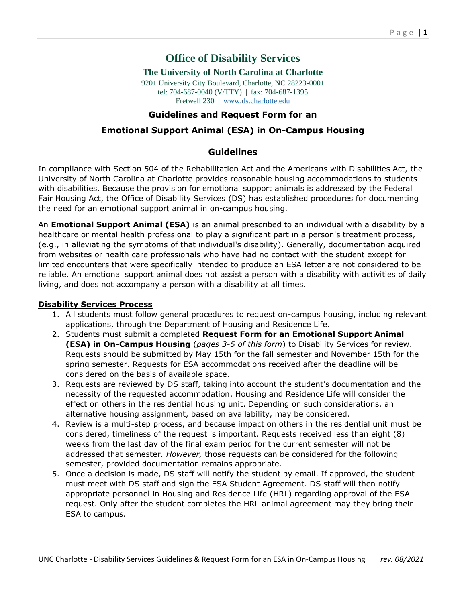# **Office of Disability Services**

#### **The University of North Carolina at Charlotte**

9201 University City Boulevard, Charlotte, NC 28223-0001 tel: 704-687-0040 (V/TTY) | fax: 704-687-1395 Fretwell 230 | [www.ds.charlotte.edu](http://www.ds.charlotte.edu/)

### **Guidelines and Request Form for an**

## **Emotional Support Animal (ESA) in On-Campus Housing**

## **Guidelines**

In compliance with Section 504 of the Rehabilitation Act and the Americans with Disabilities Act, the University of North Carolina at Charlotte provides reasonable housing accommodations to students with disabilities. Because the provision for emotional support animals is addressed by the Federal Fair Housing Act, the Office of Disability Services (DS) has established procedures for documenting the need for an emotional support animal in on-campus housing.

An **Emotional Support Animal (ESA)** is an animal prescribed to an individual with a disability by a healthcare or mental health professional to play a significant part in a person's treatment process, (e.g., in alleviating the symptoms of that individual's disability). Generally, documentation acquired from websites or health care professionals who have had no contact with the student except for limited encounters that were specifically intended to produce an ESA letter are not considered to be reliable. An emotional support animal does not assist a person with a disability with activities of daily living, and does not accompany a person with a disability at all times.

#### **Disability Services Process**

- 1. All students must follow general procedures to request on-campus housing, including relevant applications, through the Department of Housing and Residence Life.
- 2. Students must submit a completed **Request Form for an Emotional Support Animal (ESA) in On-Campus Housing** (*pages 3-5 of this form*) to Disability Services for review. Requests should be submitted by May 15th for the fall semester and November 15th for the spring semester. Requests for ESA accommodations received after the deadline will be considered on the basis of available space.
- 3. Requests are reviewed by DS staff, taking into account the student's documentation and the necessity of the requested accommodation. Housing and Residence Life will consider the effect on others in the residential housing unit. Depending on such considerations, an alternative housing assignment, based on availability, may be considered.
- 4. Review is a multi-step process, and because impact on others in the residential unit must be considered, timeliness of the request is important. Requests received less than eight (8) weeks from the last day of the final exam period for the current semester will not be addressed that semester. *However,* those requests can be considered for the following semester, provided documentation remains appropriate.
- 5. Once a decision is made, DS staff will notify the student by email. If approved, the student must meet with DS staff and sign the ESA Student Agreement. DS staff will then notify appropriate personnel in Housing and Residence Life (HRL) regarding approval of the ESA request. Only after the student completes the HRL animal agreement may they bring their ESA to campus.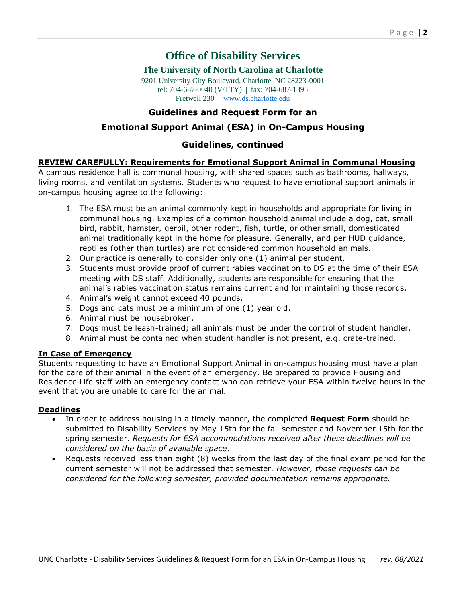# **Office of Disability Services**

#### **The University of North Carolina at Charlotte**

9201 University City Boulevard, Charlotte, NC 28223-0001 tel: 704-687-0040 (V/TTY) | fax: 704-687-1395 Fretwell 230 | [www.ds.charlotte.edu](http://www.ds.charlotte.edu/)

## **Guidelines and Request Form for an**

## **Emotional Support Animal (ESA) in On-Campus Housing**

### **Guidelines, continued**

#### **REVIEW CAREFULLY: Requirements for Emotional Support Animal in Communal Housing**

A campus residence hall is communal housing, with shared spaces such as bathrooms, hallways, living rooms, and ventilation systems. Students who request to have emotional support animals in on-campus housing agree to the following:

- 1. The ESA must be an animal commonly kept in households and appropriate for living in communal housing. Examples of a common household animal include a dog, cat, small bird, rabbit, hamster, gerbil, other rodent, fish, turtle, or other small, domesticated animal traditionally kept in the home for pleasure. Generally, and per HUD guidance, reptiles (other than turtles) are not considered common household animals.
- 2. Our practice is generally to consider only one (1) animal per student.
- 3. Students must provide proof of current rabies vaccination to DS at the time of their ESA meeting with DS staff. Additionally, students are responsible for ensuring that the animal's rabies vaccination status remains current and for maintaining those records.
- 4. Animal's weight cannot exceed 40 pounds.
- 5. Dogs and cats must be a minimum of one (1) year old.
- 6. Animal must be housebroken.
- 7. Dogs must be leash-trained; all animals must be under the control of student handler.
- 8. Animal must be contained when student handler is not present, e.g. crate-trained.

#### **In Case of Emergency**

Students requesting to have an Emotional Support Animal in on-campus housing must have a plan for the care of their animal in the event of an emergency. Be prepared to provide Housing and Residence Life staff with an emergency contact who can retrieve your ESA within twelve hours in the event that you are unable to care for the animal.

#### **Deadlines**

- In order to address housing in a timely manner, the completed **Request Form** should be submitted to Disability Services by May 15th for the fall semester and November 15th for the spring semester. *Requests for ESA accommodations received after these deadlines will be considered on the basis of available space*.
- Requests received less than eight (8) weeks from the last day of the final exam period for the current semester will not be addressed that semester. *However, those requests can be considered for the following semester, provided documentation remains appropriate.*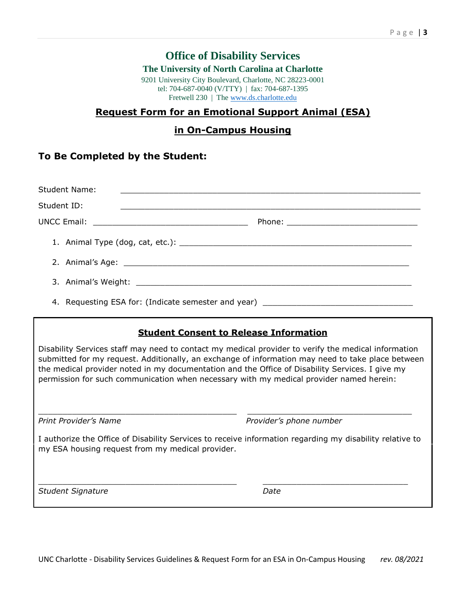# **Office of Disability Services**

#### **The University of North Carolina at Charlotte**

9201 University City Boulevard, Charlotte, NC 28223-0001 tel: 704-687-0040 (V/TTY) | fax: 704-687-1395 Fretwell 230 | Th[e www.ds.charlotte.edu](http://www.ds.charlotte.edu/)

## **Request Form for an Emotional Support Animal (ESA)**

# **in On-Campus Housing**

# **To Be Completed by the Student:**

| Student Name:                                                                    | <u> 2000 - Jan Barnett, fransk politik (d. 1888)</u> |  |
|----------------------------------------------------------------------------------|------------------------------------------------------|--|
| Student ID:                                                                      |                                                      |  |
|                                                                                  |                                                      |  |
|                                                                                  |                                                      |  |
|                                                                                  |                                                      |  |
|                                                                                  |                                                      |  |
| 4. Requesting ESA for: (Indicate semester and year) ____________________________ |                                                      |  |

# **Student Consent to Release Information**

Disability Services staff may need to contact my medical provider to verify the medical information submitted for my request. Additionally, an exchange of information may need to take place between the medical provider noted in my documentation and the Office of Disability Services. I give my permission for such communication when necessary with my medical provider named herein:

*Print Provider's Name Provider's phone number*

I authorize the Office of Disability Services to receive information regarding my disability relative to my ESA housing request from my medical provider.

 $\_$  , and the state of the state of the state of the state of the state of the state of the state of the state of the state of the state of the state of the state of the state of the state of the state of the state of the

\_\_\_\_\_\_\_\_\_\_\_\_\_\_\_\_\_\_\_\_\_\_\_\_\_\_\_\_\_\_\_\_\_\_\_\_\_\_\_\_\_ \_\_\_\_\_\_\_\_\_\_\_\_\_\_\_\_\_\_\_\_\_\_\_\_\_\_\_\_\_\_\_\_\_\_

*Student Signature Date*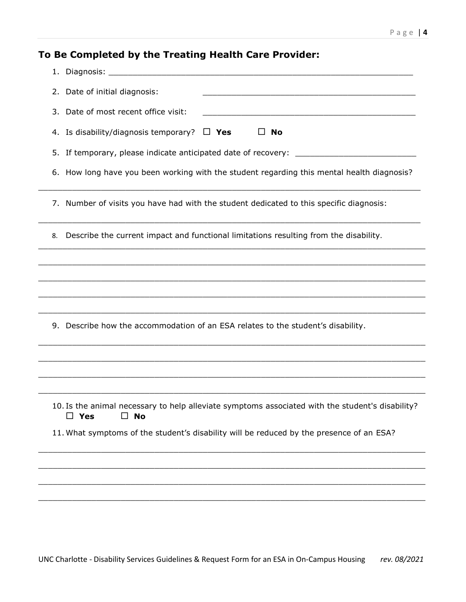# **To Be Completed by the Treating Health Care Provider:**

| 2. Date of initial diagnosis:                                                                                                                                                                                                                                         |  |  |
|-----------------------------------------------------------------------------------------------------------------------------------------------------------------------------------------------------------------------------------------------------------------------|--|--|
| 3. Date of most recent office visit:<br>the control of the control of the control of the control of the control of the control of the control of the control of the control of the control of the control of the control of the control of the control of the control |  |  |
| 4. Is disability/diagnosis temporary?<br>$\Box$ No<br>$\Box$ Yes                                                                                                                                                                                                      |  |  |
| 5. If temporary, please indicate anticipated date of recovery:                                                                                                                                                                                                        |  |  |
| 6. How long have you been working with the student regarding this mental health diagnosis?                                                                                                                                                                            |  |  |
| 7. Number of visits you have had with the student dedicated to this specific diagnosis:                                                                                                                                                                               |  |  |
| Describe the current impact and functional limitations resulting from the disability.<br>8.                                                                                                                                                                           |  |  |
|                                                                                                                                                                                                                                                                       |  |  |
|                                                                                                                                                                                                                                                                       |  |  |
|                                                                                                                                                                                                                                                                       |  |  |
| 9. Describe how the accommodation of an ESA relates to the student's disability.                                                                                                                                                                                      |  |  |
| ,我们也不能在这里的人,我们也不能在这里的人,我们也不能在这里的人,我们也不能在这里的人,我们也不能在这里的人,我们也不能在这里的人,我们也不能在这里的人,我们也                                                                                                                                                                                     |  |  |
|                                                                                                                                                                                                                                                                       |  |  |
|                                                                                                                                                                                                                                                                       |  |  |
| 10. Is the animal necessary to help alleviate symptoms associated with the student's disability?<br>$\square$ No<br>$\Box$ Yes                                                                                                                                        |  |  |
| 11. What symptoms of the student's disability will be reduced by the presence of an ESA?                                                                                                                                                                              |  |  |
|                                                                                                                                                                                                                                                                       |  |  |
|                                                                                                                                                                                                                                                                       |  |  |
|                                                                                                                                                                                                                                                                       |  |  |